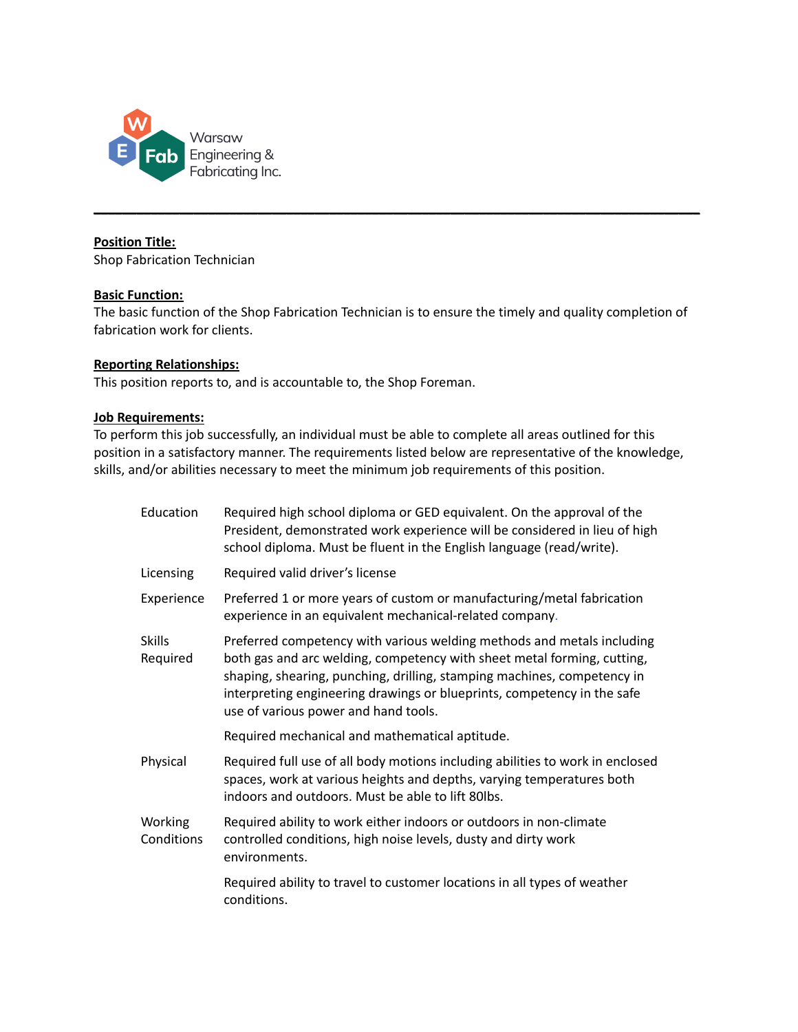

#### **Position Title:**

Shop Fabrication Technician

#### **Basic Function:**

The basic function of the Shop Fabrication Technician is to ensure the timely and quality completion of fabrication work for clients.

**\_\_\_\_\_\_\_\_\_\_\_\_\_\_\_\_\_\_\_\_\_\_\_\_\_\_\_\_\_\_\_\_\_\_\_\_\_\_\_\_\_\_\_\_\_\_\_\_\_\_\_\_\_\_\_\_\_\_\_\_\_\_\_\_\_\_\_\_\_\_\_\_\_\_\_\_\_\_\_\_\_\_\_\_\_**

### **Reporting Relationships:**

This position reports to, and is accountable to, the Shop Foreman.

#### **Job Requirements:**

To perform this job successfully, an individual must be able to complete all areas outlined for this position in a satisfactory manner. The requirements listed below are representative of the knowledge, skills, and/or abilities necessary to meet the minimum job requirements of this position.

| Education                 | Required high school diploma or GED equivalent. On the approval of the<br>President, demonstrated work experience will be considered in lieu of high<br>school diploma. Must be fluent in the English language (read/write).                                                                                                                    |  |
|---------------------------|-------------------------------------------------------------------------------------------------------------------------------------------------------------------------------------------------------------------------------------------------------------------------------------------------------------------------------------------------|--|
| Licensing                 | Required valid driver's license                                                                                                                                                                                                                                                                                                                 |  |
| Experience                | Preferred 1 or more years of custom or manufacturing/metal fabrication<br>experience in an equivalent mechanical-related company.                                                                                                                                                                                                               |  |
| <b>Skills</b><br>Required | Preferred competency with various welding methods and metals including<br>both gas and arc welding, competency with sheet metal forming, cutting,<br>shaping, shearing, punching, drilling, stamping machines, competency in<br>interpreting engineering drawings or blueprints, competency in the safe<br>use of various power and hand tools. |  |
|                           | Required mechanical and mathematical aptitude.                                                                                                                                                                                                                                                                                                  |  |
| Physical                  | Required full use of all body motions including abilities to work in enclosed<br>spaces, work at various heights and depths, varying temperatures both<br>indoors and outdoors. Must be able to lift 80lbs.                                                                                                                                     |  |
| Working<br>Conditions     | Required ability to work either indoors or outdoors in non-climate<br>controlled conditions, high noise levels, dusty and dirty work<br>environments.                                                                                                                                                                                           |  |
|                           | Required ability to travel to customer locations in all types of weather<br>conditions.                                                                                                                                                                                                                                                         |  |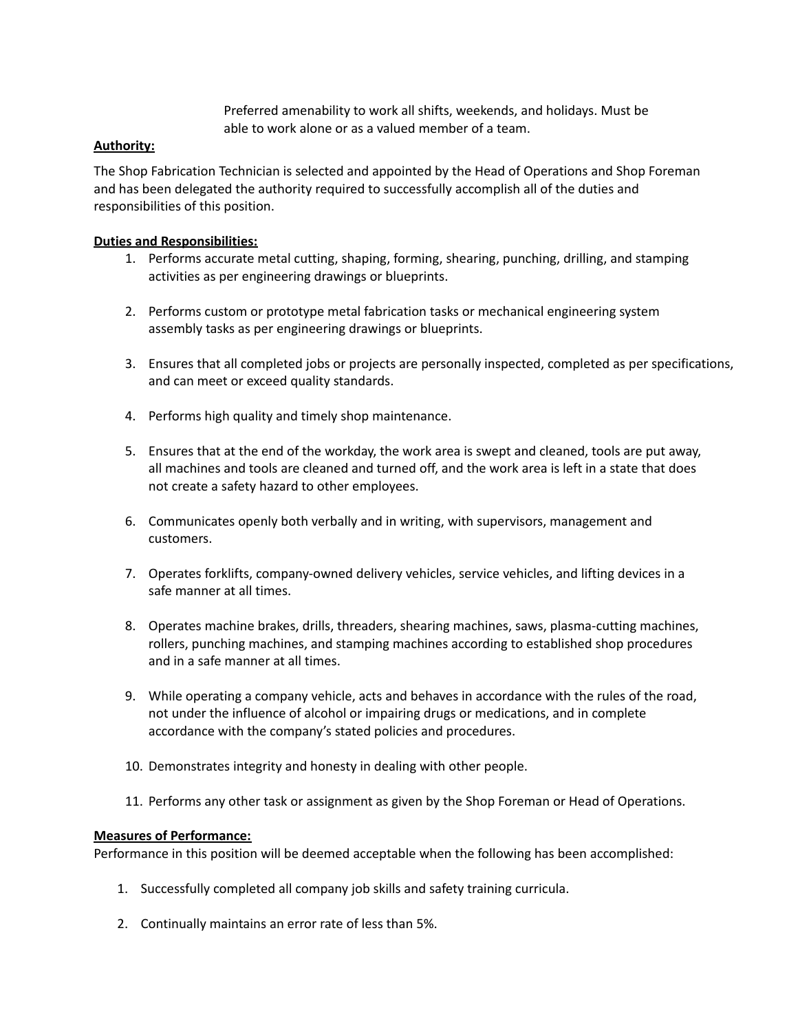Preferred amenability to work all shifts, weekends, and holidays. Must be able to work alone or as a valued member of a team.

## **Authority:**

The Shop Fabrication Technician is selected and appointed by the Head of Operations and Shop Foreman and has been delegated the authority required to successfully accomplish all of the duties and responsibilities of this position.

### **Duties and Responsibilities:**

- 1. Performs accurate metal cutting, shaping, forming, shearing, punching, drilling, and stamping activities as per engineering drawings or blueprints.
- 2. Performs custom or prototype metal fabrication tasks or mechanical engineering system assembly tasks as per engineering drawings or blueprints.
- 3. Ensures that all completed jobs or projects are personally inspected, completed as per specifications, and can meet or exceed quality standards.
- 4. Performs high quality and timely shop maintenance.
- 5. Ensures that at the end of the workday, the work area is swept and cleaned, tools are put away, all machines and tools are cleaned and turned off, and the work area is left in a state that does not create a safety hazard to other employees.
- 6. Communicates openly both verbally and in writing, with supervisors, management and customers.
- 7. Operates forklifts, company-owned delivery vehicles, service vehicles, and lifting devices in a safe manner at all times.
- 8. Operates machine brakes, drills, threaders, shearing machines, saws, plasma-cutting machines, rollers, punching machines, and stamping machines according to established shop procedures and in a safe manner at all times.
- 9. While operating a company vehicle, acts and behaves in accordance with the rules of the road, not under the influence of alcohol or impairing drugs or medications, and in complete accordance with the company's stated policies and procedures.
- 10. Demonstrates integrity and honesty in dealing with other people.
- 11. Performs any other task or assignment as given by the Shop Foreman or Head of Operations.

### **Measures of Performance:**

Performance in this position will be deemed acceptable when the following has been accomplished:

- 1. Successfully completed all company job skills and safety training curricula.
- 2. Continually maintains an error rate of less than 5%.